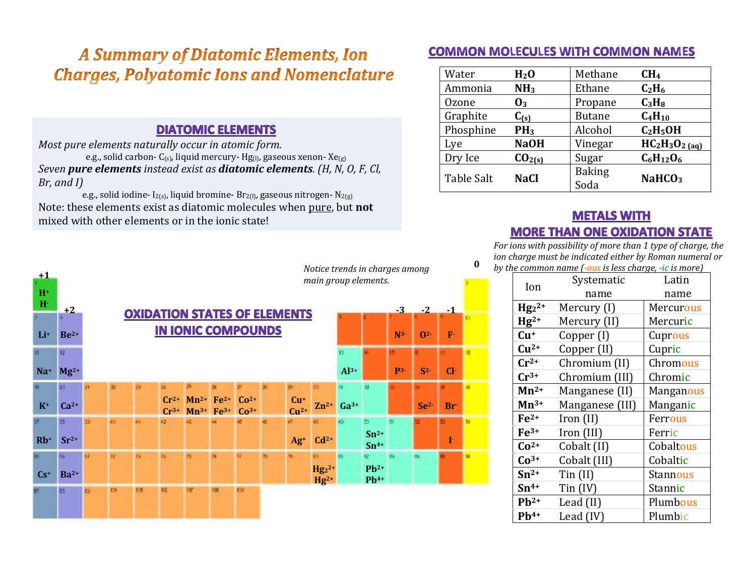## **A Summary of Diatomic Elements, Ion Charges, Polyatomic Ions and Nomenclature**

## **DIATOMIC ELEMENTS**

*Most pure elements naturally occur in atomic form.* e.g., solid carbon-  $C_{(s)}$ , liquid mercury-  $Hg_{(l)}$ , gaseous xenon-  $Xe_{(g)}$ *Seven pure elements instead exist as diatomic elements.* (*H, N, O, F, Cl, Br, and I)* 

e.g., solid iodine-  $I_{2(s)}$ , liquid bromine-  $Br_{2(l)}$ , gaseous nitrogen-  $N_{2(g)}$ Note: these elements exist as diatomic molecules when pure, but not mixed with other elements or in the ionic state!

## **COMMON MOLECULES WITH COMMON NAMES**

| Water        | H <sub>2</sub> O   | Methane       | CH <sub>4</sub>               |  |
|--------------|--------------------|---------------|-------------------------------|--|
| Ammonia      | NH <sub>3</sub>    | Ethane        | C <sub>2</sub> H <sub>6</sub> |  |
| <b>Ozone</b> | $\mathbf{0}_3$     | Propane       | $C_3H_8$                      |  |
| Graphite     | $C_{(s)}$          | <b>Butane</b> | $C_4H_{10}$                   |  |
| Phosphine    | PH <sub>3</sub>    | Alcohol       | $C_2H_5OH$                    |  |
| Lye          | <b>NaOH</b>        | Vinegar       | $HC_2H_3O_{2(aq)}$            |  |
| Dry Ice      | CO <sub>2(s)</sub> | Sugar         | $C_6H_{12}O_6$                |  |
| Table Salt   | <b>NaCl</b>        | <b>Baking</b> | NaHCO <sub>3</sub>            |  |
|              |                    | Soda          |                               |  |

**0**

## **METALS WITH MORE THAN ONE OXIDATION STATE**

*For ions with possibility of more than 1 type of charge, the ion charge must be indicated either by Roman numeral or by the common name*  $(-\omega s)$  *is less charge, -ic is more*)

| Ion                | Systematic      | Latin            |  |  |
|--------------------|-----------------|------------------|--|--|
|                    | name            | name             |  |  |
| $Hg_2^2$ +         | Mercury (I)     | Mercurous        |  |  |
| $Hg^{2+}$          | Mercury (II)    | Mercuric         |  |  |
| $Cu+$              | Copper (I)      | Cuprous          |  |  |
| $Cu2+$             | Copper (II)     | Cupric           |  |  |
| $Cr^{2+}$          | Chromium (II)   | Chromous         |  |  |
| $Cr^{3+}$          | Chromium (III)  | Chromic          |  |  |
| $Mn^{2+}$          | Manganese (II)  | <b>Manganous</b> |  |  |
| $\mathbf{Mn}^{3+}$ | Manganese (III) | Manganic         |  |  |
| $Fe2+$             | Iron (II)       | Ferrous          |  |  |
| $Fe3+$             | Iron (III)      | Ferric           |  |  |
| $Co2+$             | Cobalt (II)     | Cobaltous        |  |  |
| $Co3+$             | Cobalt (III)    | Cobaltic         |  |  |
| $Sn^{2+}$          | $T$ in $(II)$   | <b>Stannous</b>  |  |  |
| $Sn^{4+}$          | $T$ in $(IV)$   | <b>Stannic</b>   |  |  |
| $Pb^{2+}$          | Lead (II)       | Plumbous         |  |  |
| $Pb^{4+}$          | Lead (IV)       | Plumbic          |  |  |



*Notice trends in charges among*